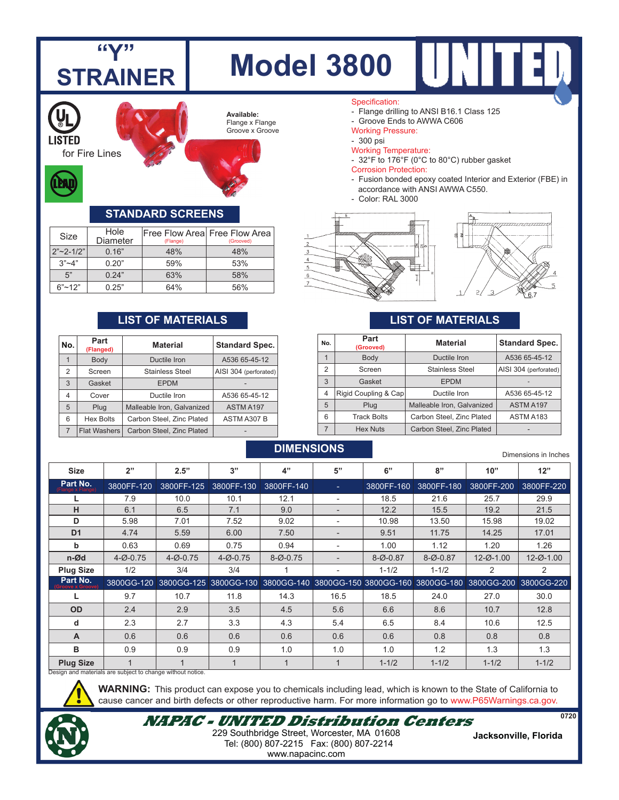

| NO.            | (Flanged)           | Material                   | Standard Spec.        |  |  |
|----------------|---------------------|----------------------------|-----------------------|--|--|
|                | Body                | Ductile Iron               | A536 65-45-12         |  |  |
| 2              | Screen              | <b>Stainless Steel</b>     | AISI 304 (perforated) |  |  |
| $\mathbf{3}$   | Gasket              | <b>EPDM</b>                |                       |  |  |
| $\overline{4}$ | Cover               | Ductile Iron               | A536 65-45-12         |  |  |
| 5              | Plug                | Malleable Iron, Galvanized | ASTM A197             |  |  |
| 6              | <b>Hex Bolts</b>    | Carbon Steel, Zinc Plated  | ASTM A307 B           |  |  |
| $\overline{7}$ | <b>Flat Washers</b> | Carbon Steel, Zinc Plated  |                       |  |  |

**DIMENSIONS**

Dimensions in Inches

2 Screen Stainless Steel AISI 304 (perforated)

4 Rigid Coupling & Cap Ductile Iron A536 65-45-12 5 Plug Malleable Iron, Galvanized ASTM A197 6 Track Bolts Carbon Steel, Zinc Plated ASTM A183 7 | Hex Nuts | Carbon Steel, Zinc Plated | -

3 Gasket | EPDM

|                                                                               |            |            |            |             |                | כסווטווו ווו כווטוכווסווע |            |                 |                                                                                         |
|-------------------------------------------------------------------------------|------------|------------|------------|-------------|----------------|---------------------------|------------|-----------------|-----------------------------------------------------------------------------------------|
| <b>Size</b>                                                                   | 2"         | 2.5"       | 3"         | 4"          | 5"             | 6"                        | 8"         | 10"             | 12"                                                                                     |
| Part No.                                                                      | 3800FF-120 | 3800FF-125 | 3800FF-130 | 3800FF-140  | ÷.             | 3800FF-160                | 3800FF-180 | 3800FF-200      | 3800FF-220                                                                              |
|                                                                               | 7.9        | 10.0       | 10.1       | 12.1        | $\blacksquare$ | 18.5                      | 21.6       | 25.7            | 29.9                                                                                    |
| н                                                                             | 6.1        | 6.5        | 7.1        | 9.0         |                | 12.2                      | 15.5       | 19.2            | 21.5                                                                                    |
| D                                                                             | 5.98       | 7.01       | 7.52       | 9.02        |                | 10.98                     | 13.50      | 15.98           | 19.02                                                                                   |
| D <sub>1</sub>                                                                | 4.74       | 5.59       | 6.00       | 7.50        |                | 9.51                      | 11.75      | 14.25           | 17.01                                                                                   |
| b                                                                             | 0.63       | 0.69       | 0.75       | 0.94        |                | 1.00                      | 1.12       | 1.20            | 1.26                                                                                    |
| n-Ød                                                                          | $4 - 0.75$ | $4 - 0.75$ | $4 - 0.75$ | $8 - 0.75$  |                | $8 - 0.87$                | $8 - 0.87$ | $12 - Ø - 1.00$ | 12-Ø-1.00                                                                               |
| <b>Plug Size</b>                                                              | 1/2        | 3/4        | 3/4        |             |                | $1 - 1/2$                 | $1 - 1/2$  | 2               | 2                                                                                       |
| Part No.<br>Groove x (                                                        | 3800GG-120 |            |            |             |                |                           |            |                 | 3800GG-125 3800GG-130 3800GG-140 3800GG-150 3800GG-160 3800GG-180 3800GG-200 3800GG-220 |
|                                                                               | 9.7        | 10.7       | 11.8       | 14.3        | 16.5           | 18.5                      | 24.0       | 27.0            | 30.0                                                                                    |
| <b>OD</b>                                                                     | 2.4        | 2.9        | 3.5        | 4.5         | 5.6            | 6.6                       | 8.6        | 10.7            | 12.8                                                                                    |
| d                                                                             | 2.3        | 2.7        | 3.3        | 4.3         | 5.4            | 6.5                       | 8.4        | 10.6            | 12.5                                                                                    |
| A                                                                             | 0.6        | 0.6        | 0.6        | 0.6         | 0.6            | 0.6                       | 0.8        | 0.8             | 0.8                                                                                     |
| в                                                                             | 0.9        | 0.9        | 0.9        | 1.0         | 1.0            | 1.0                       | 1.2        | 1.3             | 1.3                                                                                     |
| <b>Plug Size</b><br>Design and materials are subject to change without notice |            |            | 1          | $\mathbf 1$ |                | $1 - 1/2$                 | $1 - 1/2$  | $1 - 1/2$       | $1 - 1/2$                                                                               |

Design and materials are subject to change without notice.

**WARNING:** This product can expose you to chemicals including lead, which is known to the State of California to cause cancer and birth defects or other reproductive harm. For more information go to www.P65Warnings.ca.gov.

**NAPAC - UNITED Distribution Centers**

 Tel: (800) 807-2215 Fax: (800) 807-2214 **Jacksonville, Florida** 229 Southbridge Street, Worcester, MA 01608 www.napacinc.com

**0720**